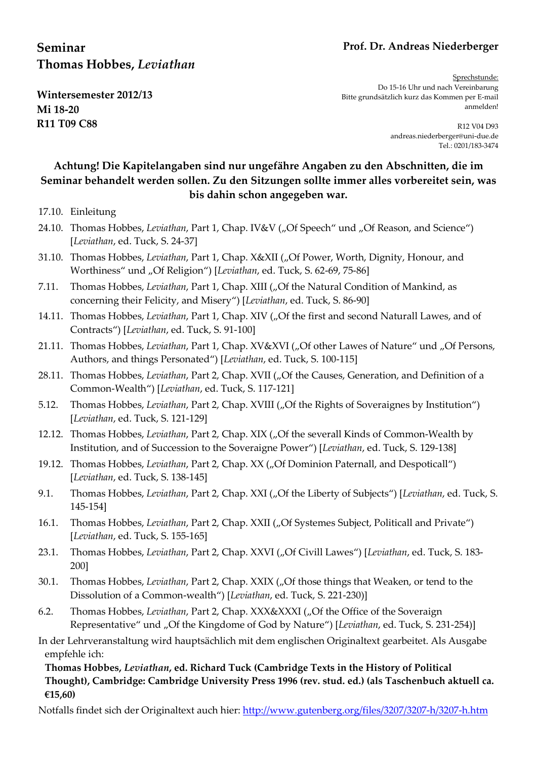# **Prof. Dr. Andreas Niederberger**

# **Seminar Thomas Hobbes,** *Leviathan*

**Wintersemester 2012/13 Mi 18-20 R11 T09 C88** 

Sprechstunde: Do 15-16 Uhr und nach Vereinbarung Bitte grundsätzlich kurz das Kommen per E-mail anmelden!

> R12 V04 D93 andreas.niederberger@uni-due.de Tel.: 0201/183-3474

# **Achtung! Die Kapitelangaben sind nur ungefähre Angaben zu den Abschnitten, die im Seminar behandelt werden sollen. Zu den Sitzungen sollte immer alles vorbereitet sein, was bis dahin schon angegeben war.**

## 17.10. Einleitung

- 24.10. Thomas Hobbes, *Leviathan*, Part 1, Chap. IV&V ("Of Speech" und "Of Reason, and Science") [*Leviathan*, ed. Tuck, S. 24-37]
- 31.10. Thomas Hobbes, *Leviathan*, Part 1, Chap. X&XII ("Of Power, Worth, Dignity, Honour, and Worthiness" und "Of Religion") [Leviathan, ed. Tuck, S. 62-69, 75-86]
- 7.11. Thomas Hobbes, *Leviathan*, Part 1, Chap. XIII ("Of the Natural Condition of Mankind, as concerning their Felicity, and Misery") [*Leviathan*, ed. Tuck, S. 86-90]
- 14.11. Thomas Hobbes, *Leviathan*, Part 1, Chap. XIV ("Of the first and second Naturall Lawes, and of Contracts") [*Leviathan*, ed. Tuck, S. 91-100]
- 21.11. Thomas Hobbes, *Leviathan*, Part 1, Chap. XV&XVI ("Of other Lawes of Nature" und "Of Persons, Authors, and things Personated") [*Leviathan*, ed. Tuck, S. 100-115]
- 28.11. Thomas Hobbes, *Leviathan*, Part 2, Chap. XVII ("Of the Causes, Generation, and Definition of a Common-Wealth") [*Leviathan*, ed. Tuck, S. 117-121]
- 5.12. Thomas Hobbes, *Leviathan*, Part 2, Chap. XVIII ("Of the Rights of Soveraignes by Institution") [*Leviathan*, ed. Tuck, S. 121-129]
- 12.12. Thomas Hobbes, *Leviathan*, Part 2, Chap. XIX ("Of the severall Kinds of Common-Wealth by Institution, and of Succession to the Soveraigne Power") [*Leviathan*, ed. Tuck, S. 129-138]
- 19.12. Thomas Hobbes, *Leviathan*, Part 2, Chap. XX ("Of Dominion Paternall, and Despoticall") [*Leviathan*, ed. Tuck, S. 138-145]
- 9.1. Thomas Hobbes, *Leviathan*, Part 2, Chap. XXI ("Of the Liberty of Subjects") [*Leviathan*, ed. Tuck, S. 145-154]
- 16.1. Thomas Hobbes, *Leviathan*, Part 2, Chap. XXII ("Of Systemes Subject, Politicall and Private") [*Leviathan*, ed. Tuck, S. 155-165]
- 23.1. Thomas Hobbes, *Leviathan*, Part 2, Chap. XXVI ("Of Civill Lawes") [*Leviathan*, ed. Tuck, S. 183-200]
- 30.1. Thomas Hobbes, *Leviathan*, Part 2, Chap. XXIX ("Of those things that Weaken, or tend to the Dissolution of a Common-wealth") [*Leviathan*, ed. Tuck, S. 221-230)]
- 6.2. Thomas Hobbes, *Leviathan*, Part 2, Chap. XXX&XXXI ("Of the Office of the Soveraign Representative" und "Of the Kingdome of God by Nature") [*Leviathan*, ed. Tuck, S. 231-254)]

In der Lehrveranstaltung wird hauptsächlich mit dem englischen Originaltext gearbeitet. Als Ausgabe empfehle ich:

**Thomas Hobbes,** *Leviathan***, ed. Richard Tuck (Cambridge Texts in the History of Political Thought), Cambridge: Cambridge University Press 1996 (rev. stud. ed.) (als Taschenbuch aktuell ca. €15,60)** 

Notfalls findet sich der Originaltext auch hier: http://www.gutenberg.org/files/3207/3207-h/3207-h.htm